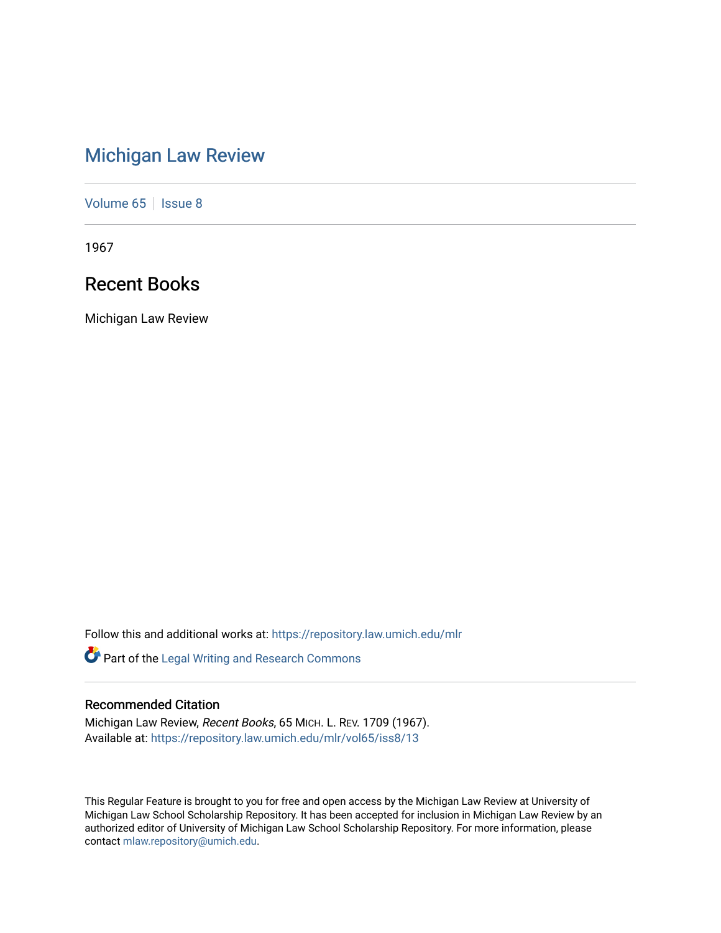# [Michigan Law Review](https://repository.law.umich.edu/mlr)

[Volume 65](https://repository.law.umich.edu/mlr/vol65) | [Issue 8](https://repository.law.umich.edu/mlr/vol65/iss8)

1967

# Recent Books

Michigan Law Review

Follow this and additional works at: [https://repository.law.umich.edu/mlr](https://repository.law.umich.edu/mlr?utm_source=repository.law.umich.edu%2Fmlr%2Fvol65%2Fiss8%2F13&utm_medium=PDF&utm_campaign=PDFCoverPages) 

Part of the [Legal Writing and Research Commons](http://network.bepress.com/hgg/discipline/614?utm_source=repository.law.umich.edu%2Fmlr%2Fvol65%2Fiss8%2F13&utm_medium=PDF&utm_campaign=PDFCoverPages) 

# Recommended Citation

Michigan Law Review, Recent Books, 65 MICH. L. REV. 1709 (1967). Available at: [https://repository.law.umich.edu/mlr/vol65/iss8/13](https://repository.law.umich.edu/mlr/vol65/iss8/13?utm_source=repository.law.umich.edu%2Fmlr%2Fvol65%2Fiss8%2F13&utm_medium=PDF&utm_campaign=PDFCoverPages) 

This Regular Feature is brought to you for free and open access by the Michigan Law Review at University of Michigan Law School Scholarship Repository. It has been accepted for inclusion in Michigan Law Review by an authorized editor of University of Michigan Law School Scholarship Repository. For more information, please contact [mlaw.repository@umich.edu](mailto:mlaw.repository@umich.edu).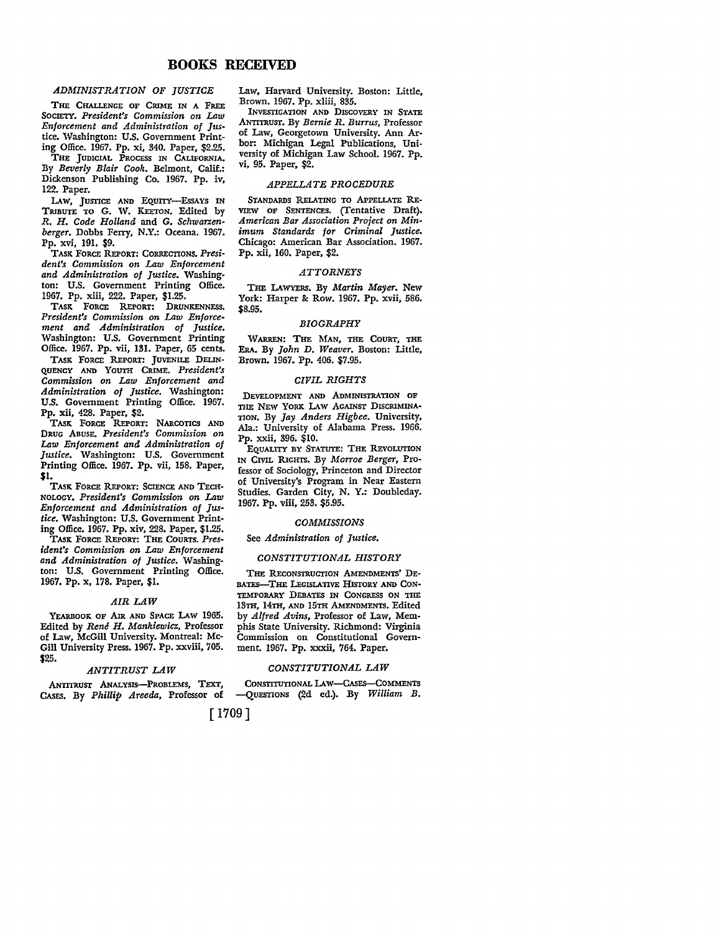# **BOOKS RECEIVED**

# *ADMINISTRATION OF JUSTICE*

THE CHALLENGE OF CRIME IN A FREE SOCIETY. *President's Commission on Law Enforcement and Administration of Jus*tice. Washington: U.S. Government Printing Office. 1967. Pp. xi, 340. Paper, \$2.25.

THE JUDICIAL PROCESS IN CALIFORNIA, By *Beverly Blair Cook.* Belmont, Calif.: Dickenson Publishing Co. 1967. Pp. iv, 122. Paper.

LAW, JUSTICE AND EQUITY-EssAYS IN TRIBUTE TO G. W. KEETON, Edited by *R. H. Code Holland* and G. *Schwarzenberger.* Dobbs Ferry, N.Y.: Oceana. 1967. Pp. xvi, 191. \$9.

TASK FORCE REPORT: CORRECTIONS. *President's Commission on Law Enforcement and Administration of Justice.* Washington: U.S. Government Printing Office. 1967. Pp. xiii, 222. Paper, \$1.25.

TASK FORCE REPORT: DRUNKENNESS, *President's Commission on Law Enforcement and Administration of Justice.*  Washington: U.S. Government Printing Office. 1967. Pp. vii, 131. Paper, 65 cents.

TASK FORCE REPORT: JUVENILE DELIN-QUENCY AND YOUTH CRIME. *President's Commission on Law Enforcement and Administration of Justice.* Washington: U.S. Government Printing Office. 1967. Pp. xii, 428. Paper, \$2.

TASK FORCE REPORT: NARCOTICS AND DRUG ABUSE, *President's Commission on Law Enforcement and Administration of Justice.* Washington: U.S. Government Printing Office. 1967. Pp. vii, 158. Paper, \$1.

TASK FORCE REPORT: SCIENCE AND TECH-NOLOGY. *President's Commission on Law Enforcement and Administration of Justice.* Washington: U.S. Government Printing Office. 1967. Pp. xiv, 228. Paper, \$1.25.

TASK FORCE REPORT: THE COURTS. *President's Commission on Law Enforcement and Administration of Justice.* Washington: U.S. Government Printing Office. 1967. Pp. x, 178. Paper, \$1.

#### *AIR LAW*

YEARBOOK OF AIR AND SPACE LAW 1965. Edited by *Rene H. Mankiewicz,* Professor of Law, McGill University. Montreal: Mc-Gill University Press. 1967. Pp. xxviii, 705. \$25.

# *ANTITRUST LAW*

ANTITRUST ANALYSIS--PROBLEMS, TEXT, CASES, By *Phillip Areeda,* Professor of Law, Harvard University. Boston: Little, Brown. 1967. Pp. xliii, 835.

INVESTIGATION AND DISCOVERY IN STATE ANTITRUST. By *Bernie R. Burrus,* Professor of Law, Georgetown University. Ann Arbor: Michigan Legal Publications, University of Michigan Law School. 1967. Pp. vi, 95. Paper, \$2.

# *APPELLATE PROCEDURE*

STANDARDS RELATING TO APPELLATE RE-VIEW OF SENTENCES. (Tentative Draft). *American Bar Association Project on Minimum Standards for Criminal Justice.*  Chicago: American Bar Association. 1967. Pp. xii, 160. Paper, \$2.

# *ATTORNEYS*

THE LAWYERS. By *Martin Mayer.* New York: Harper & Row. 1967. Pp. xvii, 586. \$8.95.

# *BIOGRAPHY*

WARREN: THE MAN, THE COURT, THE ERA. By *John D. Weaver.* Boston: Little, Brown. 1967. Pp. 406. \$7.95.

# *CIVIL RIGHTS*

DEVELOPMENT AND ADMINISTRATION OF THE NEW YORK LAW AGAINST DISCRIMINA-TION. By *Jay Anders Higbee.* University, Ala.: University of Alabama Press. 1966. Pp. xxii, 396. \$10.

EQUALITY BY STATUTE: THE REVOLUTION IN CML RIGHTS. By *Morroe Berger,* Professor of Sociology, Princeton and Director of University's Program in Near Eastern Studies. Garden City, N. Y.: Doubleday. 1967. Pp. viii, 253. \$5.95.

#### *COMMISSIONS*

See *Administration of Justice.* 

# *CONSTITUTIONAL HISTORY*

THE RECONSTRUCTION AMENDMENTS' DE-BATES-THE LEGISLATIVE HISTORY AND CON-TEMPORARY DEBATES IN CONGRESS ON THE 13TH, 14TH, AND 15TH AMENDMENTS, Edited by *Alfred Avins,* Professor of Law, Memphis State University. Richmond: Virginia Commission on Constitutional Government. 1967. Pp. xxxii, 764. Paper.

# *CONSTITUTIONAL LAW*

CONSTITUTIONAL LAw-CAsEs-COMMENTS -QUESTIONS (2d ed.). By William B.

# [1709]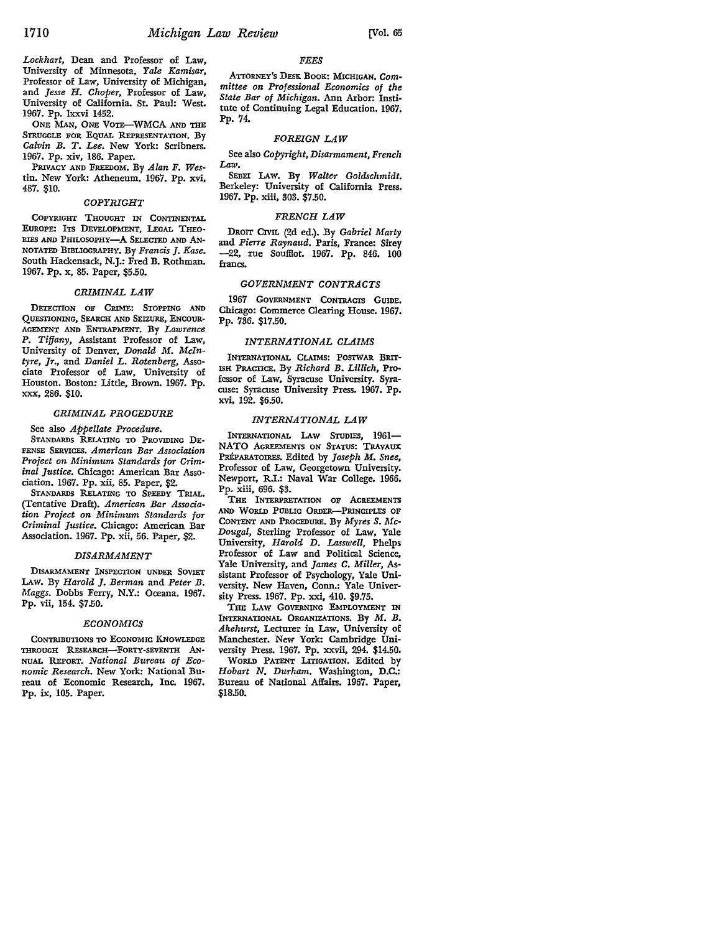*Lockhart,* Dean and Professor of Law, University of Minnesota, *Yale Kamisar,*  Professor of Law, University of Michigan, and *Jesse H. Choper,* Professor of Law, University of California. St. Paul: West. 1967. Pp. Ixxvi 1452.

ONE MAN, ONE VOTE-WMCA AND THE STRUGGLE FOR EQUAL REPRESENTATION. By *Calvin B. T. Lee.* New York: Scribners. 1967. Pp. xiv, 186. Paper.

PRivAcY AND FREEDOM. By *Alan F. Wes*tin. New York: Atheneum. 1967. Pp. xvi, 487. \$10.

# *COPYRIGHT*

COPYRIGHT THOUGHT IN CONTINENTAL EUROPE: ITS DEVELOPMENT, LEGAL THEO-RIES AND PHILOSOPHY-A SELECTED AND AN-NOTATED BIBLIOGRAPHY. By *Francis* J. *Kase.*  South Hackensack, N.J.: Fred B. Rothman. 1967. Pp. x, 85. Paper, \$5.50.

#### *CRIMINAL LAW*

DETECTION OF CRIME: STOPPING AND QUESTIONING, SEARCH AND SEIZURE, ENCOUR-AGEMENT AND ENTRAPMENT. By *Lawrence P. Tiffany,* Assistant Professor of Law, University of Denver, *Donald M. McIntyre, Jr.,* and *Daniel L. Rotenberg,* Associate Professor of Law, University of Houston. Boston: Little, Brown. 1967. Pp. XXX, 286. \$10.

# *CRIMINAL PROCEDURE*

See also *Appellate Procedure.* 

STANDARDS RELATING TO PROVIDING DE-FENSE SERVICES. *American Bar Association Project on Minimum Standards for Criminal Justice.* Chicago: American Bar Association. 1967. Pp. xii, 85. Paper, \$2.

STANDARDS RELATING TO SPEEDY TRIAL. (Tentative Draft). *American Bar Association Project on Minimum Standards for Criminal Justice.* Chicago: American Bar Association. 1967. Pp. xii, 56. Paper, \$2.

# *DISARMAMENT*

DISARMAMENT INSPECTION UNDER SOVIET LAW. By *Harold* J. *Berman* and *Peter B. Maggs.* Dobbs Ferry, N.Y.: Oceana. 1967. Pp. vii, 154. \$7 .50.

### *ECONOMICS*

CONTRIBUTIONS TO ECONOMIC KNOWLEDGE THROUGH RESEARCH-FORTY-SEVENTH AN-NUAL REPORT. *National Bureau of Economic Research.* New York: National Bureau of Economic Research, Inc. 1967. Pp. ix, 105. Paper.

# ATTORNEY'S DESK BOOK: MICHIGAN. Com*mittee on Professional Economics of the State Bar of Michigan.* Ann Arbor: Institute of Continuing Legal Education. 1967. Pp. 74.

*FEES* 

# *FOREIGN LAW*

See also *Copyright, Disarmament, French Law.* 

SEBEI LAW. By *Walter Goldschmidt.*  Berkeley: University of California Press. 1967. Pp. xiii, 303. \$7.50.

#### *FRENCH LAW*

DROIT CIVIL (2d ed.). By *Gabriel Marty*  and *Pierre Raynaud.* Paris, France: Sirey -22, rue Souffiot. 1967. Pp. 846. 100 francs.

# *GOVERNMENT CONTRACTS*

1967 GOVERNMENT CONTRACTS GUIDE. Chicago: Commerce Clearing House. 1967. Pp. 736. \$17.50.

# *INTERNATIONAL CLAIMS*

INTERNATIONAL CLAIMS: POSIWAR BRIT-ISH PRACTICE. By *Richard B. Lillich,* Professor of Law, Syracuse University. Syracuse: Syracuse University Press. 1967. Pp. xvi, 192. \$6.50.

# *INTERNATIONAL LAW*

INTERNATIONAL LAW STUDIES, 1961- NATO AGREEMENTS ON STATUS: TRAVAUX PREPARATOIRES. Edited by *Joseph M. Snee,*  Professor of Law, Georgetown University. Newport, R.I.: Naval War College. 1966. Pp. xiii, 696. \$3.

THE INTERPRETATION OF AGREEMENTS AND WORLD PUBLIC ORDER-PRINCIPLES OF CONTENT AND PROCEDURE. By *Myres s. Mc-Dougal,* Sterling Professor of Law, Yale University, *Harold D. Lasswell,* Phelps Professor of Law and Political Science, Yale University, and *James* C. *Miller,* As· sistant Professor of Psychology, Yale University. New Haven, Conn.: Yale Univer• sity Press. 1967. Pp. xxi, 410. \$9.75.

THE LAW GOVERNING EMPLOYMENT IN INTERNATIONAL ORGANIZATIONS. By M. B. *Akehurst,* Lecturer in Law, University of Manchester. New York: Cambridge University Press. 1967. Pp. xxvii, 294. \$14.50. WoRLD PATENT LITIGATION. Edited by *Hobart N. Durham.* Washington, D.C.: Bureau of National Affairs. 1967. Paper, \$18.50.